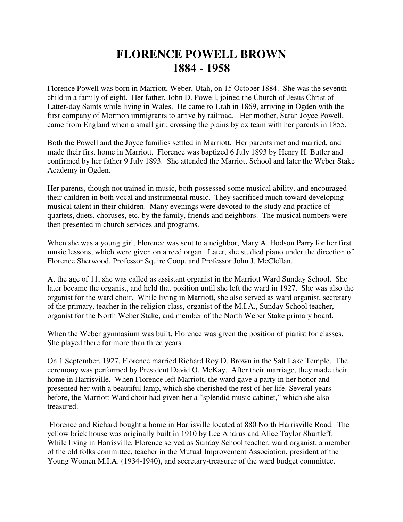## **FLORENCE POWELL BROWN 1884 - 1958**

Florence Powell was born in Marriott, Weber, Utah, on 15 October 1884. She was the seventh child in a family of eight. Her father, John D. Powell, joined the Church of Jesus Christ of Latter-day Saints while living in Wales. He came to Utah in 1869, arriving in Ogden with the first company of Mormon immigrants to arrive by railroad. Her mother, Sarah Joyce Powell, came from England when a small girl, crossing the plains by ox team with her parents in 1855.

Both the Powell and the Joyce families settled in Marriott. Her parents met and married, and made their first home in Marriott. Florence was baptized 6 July 1893 by Henry H. Butler and confirmed by her father 9 July 1893. She attended the Marriott School and later the Weber Stake Academy in Ogden.

Her parents, though not trained in music, both possessed some musical ability, and encouraged their children in both vocal and instrumental music. They sacrificed much toward developing musical talent in their children. Many evenings were devoted to the study and practice of quartets, duets, choruses, etc. by the family, friends and neighbors. The musical numbers were then presented in church services and programs.

When she was a young girl, Florence was sent to a neighbor, Mary A. Hodson Parry for her first music lessons, which were given on a reed organ. Later, she studied piano under the direction of Florence Sherwood, Professor Squire Coop, and Professor John J. McClellan.

At the age of 11, she was called as assistant organist in the Marriott Ward Sunday School. She later became the organist, and held that position until she left the ward in 1927. She was also the organist for the ward choir. While living in Marriott, she also served as ward organist, secretary of the primary, teacher in the religion class, organist of the M.I.A., Sunday School teacher, organist for the North Weber Stake, and member of the North Weber Stake primary board.

When the Weber gymnasium was built, Florence was given the position of pianist for classes. She played there for more than three years.

On 1 September, 1927, Florence married Richard Roy D. Brown in the Salt Lake Temple. The ceremony was performed by President David O. McKay. After their marriage, they made their home in Harrisville. When Florence left Marriott, the ward gave a party in her honor and presented her with a beautiful lamp, which she cherished the rest of her life. Several years before, the Marriott Ward choir had given her a "splendid music cabinet," which she also treasured.

 Florence and Richard bought a home in Harrisville located at 880 North Harrisville Road. The yellow brick house was originally built in 1910 by Lee Andrus and Alice Taylor Shurtleff. While living in Harrisville, Florence served as Sunday School teacher, ward organist, a member of the old folks committee, teacher in the Mutual Improvement Association, president of the Young Women M.I.A. (1934-1940), and secretary-treasurer of the ward budget committee.